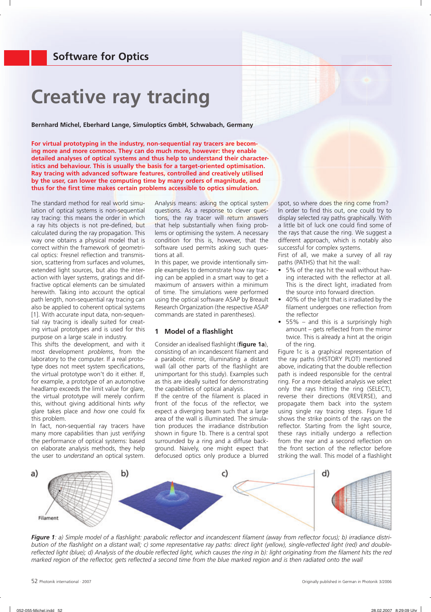# **Creative ray tracing**

**Bernhard Michel, Eberhard Lange, Simuloptics GmbH, Schwabach, Germany**

**For virtual prototyping in the industry, non-sequential ray tracers are becoming more and more common. They can do much more, however: they enable detailed analyses of optical systems and thus help to understand their characteristics and behaviour. This is usually the basis for a target-oriented optimisation. Ray tracing with advanced software features, controlled and creatively utilised by the user, can lower the computing time by many orders of magnitude, and**  thus for the first time makes certain problems accessible to optics simulation.

The standard method for real world simulation of optical systems is non-sequential ray tracing: this means the order in which a ray hits objects is not pre-defined, but calculated during the ray propagation. This way one obtains a physical model that is correct within the framework of geometrical optics: Fresnel reflection and transmission, scattering from surfaces and volumes, extended light sources, but also the interaction with layer systems, gratings and diffractive optical elements can be simulated herewith. Taking into account the optical path length, non-sequential ray tracing can also be applied to coherent optical systems [1]. With accurate input data, non-sequential ray tracing is ideally suited for creating virtual prototypes and is used for this purpose on a large scale in industry.

This shifts the development, and with it most development *problems*, from the laboratory to the computer. If a real prototype does not meet system specifications, the virtual prototype won't do it either. If, for example, a prototype of an automotive headlamp exceeds the limit value for glare, the virtual prototype will merely confirm this, without giving additional hints *why* glare takes place and *how* one could fix this problem.

In fact, non-sequential ray tracers have many more capabilities than just *verifying* the performance of optical systems: based on elaborate analysis methods, they help the user to *understand* an optical system. Analysis means: asking the optical system questions. As a response to clever questions, the ray tracer will return answers that help substantially when fixing problems or optimising the system. A necessary condition for this is, however, that the software used permits asking such questions at all.

In this paper, we provide intentionally simple examples to demonstrate how ray tracing can be applied in a smart way to get a maximum of answers within a minimum of time. The simulations were performed using the optical software ASAP by Breault Research Organization (the respective ASAP commands are stated in parentheses).

#### **1** Model of a flashlight

Consider an idealised flashlight (figure 1a), consisting of an incandescent filament and a parabolic mirror, illuminating a distant wall (all other parts of the flashlight are unimportant for this study). Examples such as this are ideally suited for demonstrating the capabilities of optical analysis.

If the centre of the filament is placed in front of the focus of the reflector, we expect a diverging beam such that a large area of the wall is illuminated. The simulation produces the irradiance distribution shown in figure 1b. There is a central spot surrounded by a ring and a diffuse background. Naively, one might expect that defocused optics only produce a blurred spot, so where does the ring come from? In order to find this out, one could try to display selected ray paths graphically. With a little bit of luck one could find some of the rays that cause the ring. We suggest a different approach, which is notably also successful for complex systems.

First of all, we make a survey of all ray paths (PATHS) that hit the wall:

- 5% of the rays hit the wall without having interacted with the reflector at all. This is the direct light, irradiated from the source into forward direction.
- 40% of the light that is irradiated by the filament undergoes one reflection from the reflector
- $55\%$  and this is a surprisingly high amount  $-$  gets reflected from the mirror twice. This is already a hint at the origin of the ring.

Figure 1c is a graphical representation of the ray paths (HISTORY PLOT) mentioned above, indicating that the double reflection path is indeed responsible for the central ring. For a more detailed analysis we select only the rays hitting the ring (SELECT), reverse their directions (REVERSE), and propagate them back into the system using single ray tracing steps. Figure 1d shows the strike points of the rays on the reflector. Starting from the light source, these rays initially undergo a reflection from the rear and a second reflection on the front section of the reflector before striking the wall. This model of a flashlight



Figure 1: a) Simple model of a flashlight: parabolic reflector and incandescent filament (away from reflector focus); b) irradiance distribution of the flashlight on a distant wall; c) some representative ray paths: direct light (yellow), single-reflected light (red) and double*reflected light (blue); d) Analysis of the double reflected light, which causes the ring in b): light originating from the filament hits the red marked region of the reflector, gets reflected a second time from the blue marked region and is then radiated onto the wall*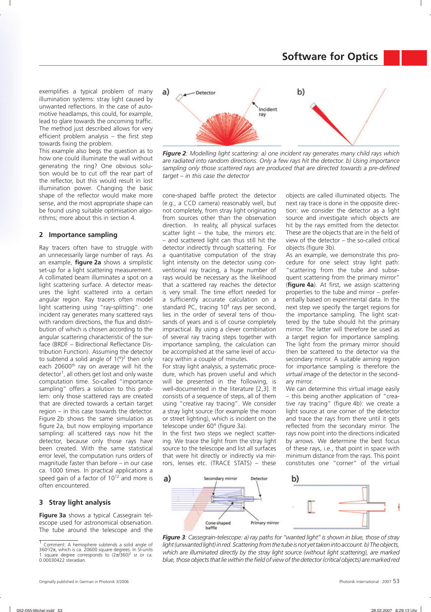exemplifies a typical problem of many illumination systems: stray light caused by unwanted reflections. In the case of automotive headlamps, this could, for example, lead to glare towards the oncoming traffic. The method just described allows for very efficient problem analysis  $-$  the first step towards fixing the problem.

This example also begs the question as to how one could illuminate the wall without generating the ring? One obvious solution would be to cut off the rear part of the reflector, but this would result in lost illumination power. Changing the basic shape of the reflector would make more sense, and the most appropriate shape can be found using suitable optimisation algorithms; more about this in section 4.

### **2 Importance sampling**

Ray tracers often have to struggle with an unnecessarily large number of rays. As an example, **figure 2a** shows a simplistic set-up for a light scattering measurement. A collimated beam illuminates a spot on a light scattering surface. A detector measures the light scattered into a certain angular region. Ray tracers often model light scattering using "ray-splitting": one incident ray generates many scattered rays with random directions, the flux and distribution of which is chosen according to the angular scattering characteristic of the surface (BRDF – Bidirectional Reflectance Distribution Function). Assuming the detector to subtend a solid angle of  $1(^{\circ})^2$  then only each 20600<sup>th</sup> ray on average will hit the detector<sup>1</sup>, all others get lost and only waste computation time. So-called "importance sampling" offers a solution to this problem: only those scattered rays are created that are directed towards a certain target region – in this case towards the detector. Figure 2b shows the same simulation as figure 2a, but now employing importance sampling: all scattered rays now hit the detector, because only those rays have been created. With the same statistical error level, the computation runs orders of magnitude faster than before – in our case ca. 1000 times. In practical applications a speed gain of a factor of  $10^{12}$  and more is often encountered.

# **3 Stray light analysis**

**Figure 3a** shows a typical Cassegrain telescope used for astronomical observation. The tube around the telescope and the



*Figure 2: Modelling light scattering: a) one incident ray generates many child rays which are radiated into random directions. Only a few rays hit the detector. b) Using importance*  sampling only those scattered rays are produced that are directed towards a pre-defined *target – in this case the detector*

cone-shaped baffle protect the detector (e.g., a CCD camera) reasonably well, but not completely, from stray light originating from sources other than the observation direction. In reality, all physical surfaces scatter light – the tube, the mirrors etc. – and scattered light can thus still hit the detector indirectly through scattering. For a quantitative computation of the stray light intensity on the detector using conventional ray tracing, a huge number of rays would be necessary as the likelihood that a scattered ray reaches the detector is very small. The time effort needed for a sufficiently accurate calculation on a standard PC, tracing 10<sup>4</sup> rays per second, lies in the order of several tens of thousands of years and is of course completely impractical. By using a clever combination of several ray tracing steps together with importance sampling, the calculation can be accomplished at the same level of accuracy within a couple of minutes.

For stray light analysis, a systematic procedure, which has proven useful and which will be presented in the following, is well-documented in the literature [2,3]. It consists of a sequence of steps, all of them using "creative ray tracing". We consider a stray light source (for example the moon or street lighting), which is incident on the telescope under 60° (figure 3a).

In the first two steps we neglect scattering. We trace the light from the stray light source to the telescope and list all surfaces that were hit directly or indirectly via mirrors, lenses etc. (TRACE STATS) – these objects are called illuminated objects. The next ray trace is done in the opposite direction: we consider the detector as a light source and investigate which objects are hit by the rays emitted from the detector. These are the objects that are in the field of view of the detector – the so-called critical objects (figure 3b).

As an example, we demonstrate this procedure for one select stray light path: "scattering from the tube and subsequent scattering from the primary mirror" (**figure 4a**). At first, we assign scattering properties to the tube and mirror – preferentially based on experimental data. In the next step we specify the target regions for the importance sampling. The light scattered by the tube should hit the primary mirror. The latter will therefore be used as a target region for importance sampling. The light from the primary mirror should then be scattered to the detector via the secondary mirror. A suitable aiming region for importance sampling is therefore the *virtual image* of the detector in the secondary mirror.

We can determine this virtual image easily – this being another application of "creative ray tracing" (figure 4b): we create a light source at one corner of the detector and trace the rays from there until it gets reflected from the secondary mirror. The rays now point into the directions indicated by arrows. We determine the best focus of these rays, i.e., that point in space with minimum distance from the rays. This point constitutes one "corner" of the virtual



*Figure 3: Cassegrain-telescope: a) ray paths for "wanted light" is shown in blue, those of stray*  light (unwanted light) in red. Scattering from the tube is not yet taken into account. b) The objects, which are illuminated directly by the stray light source (without light scattering), are marked *blue, those objects that lie within the fi eld of view of the detector (critical objects) are marked red*

<sup>&</sup>lt;sup>1</sup> Comment: A hemisphere subtends a solid angle of 360<sup>2</sup>/2π, which is ca. 20600 square degrees. In SI-units 1 square degree corresponds to  $(2π/360)^2$  sr or ca. 0.00030422 steradian.